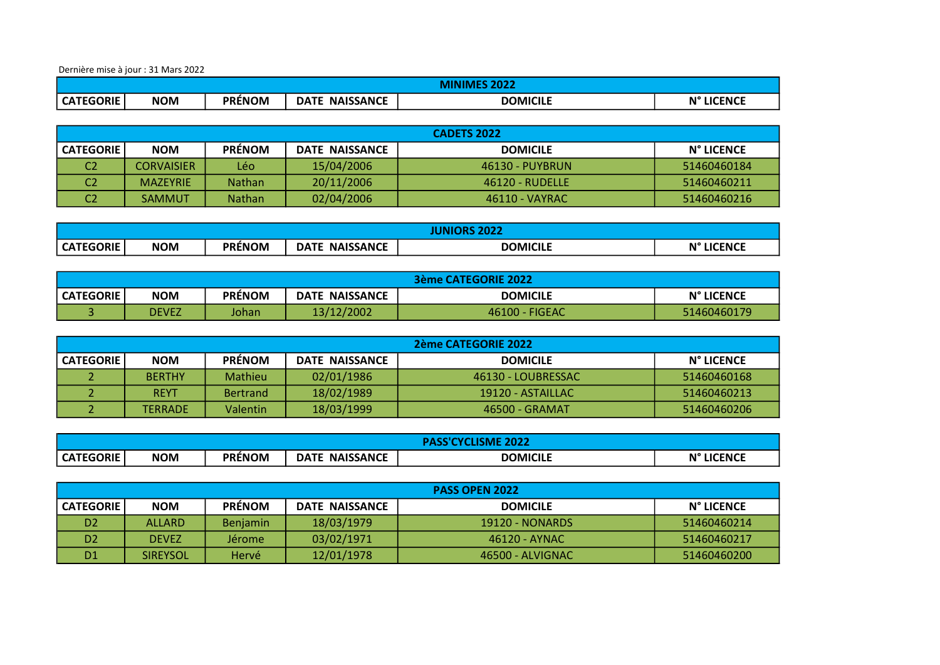Dernière mise à jour : 31 Mars 2022

|                  | ירחר פם<br>VIII. |               |                                 |                 |            |
|------------------|------------------|---------------|---------------------------------|-----------------|------------|
| <b>CATEGORIE</b> | <b>NOM</b>       | <b>PRÉNOM</b> | <b>NAISSANCE</b><br><b>DATE</b> | <b>DOMICILE</b> | N° LICENCE |

|                | CADETS 2022     |               |                |                 |             |  |
|----------------|-----------------|---------------|----------------|-----------------|-------------|--|
| CATEGORIE      | <b>NOM</b>      | <b>PRENOM</b> | DATE NAISSANCE | <b>DOMICILE</b> | N° LICENCE  |  |
| C <sub>2</sub> | CORVAISIER      | Léo.          | 15/04/2006     | 46130 - PUYBRUN | 51460460184 |  |
| C <sub>2</sub> | <b>MAZEYRIE</b> | <b>Nathan</b> | 20/11/2006     | 46120 - RUDELLE | 51460460211 |  |
| C <sub>2</sub> | <b>SAMMUT</b>   | <b>Nathan</b> | 02/04/2006     | 46110 - VAYRAC  | 51460460216 |  |

|                  | $\cdots$   |               |                                 |                 |                      |
|------------------|------------|---------------|---------------------------------|-----------------|----------------------|
| <b>CATEGORIE</b> | <b>NOM</b> | <b>PRÉNOM</b> | <b>NAISSANCE</b><br><b>DATE</b> | <b>DOMICILE</b> | N°<br><b>LICENCE</b> |

|                  | 3ème CATEGORIE 2022 |               |                       |                 |             |  |
|------------------|---------------------|---------------|-----------------------|-----------------|-------------|--|
| <b>CATEGORIE</b> | <b>NOM</b>          | <b>PRENOM</b> | <b>DATE NAISSANCE</b> | <b>DOMICILE</b> | N° LICENCE  |  |
|                  | <b>DEVEZ</b>        | Johan         | 13/12/2002            | 46100 - FIGEAC  | 51460460179 |  |

|                  | 2ème CATEGORIE 2022 |                 |                       |                    |                   |  |
|------------------|---------------------|-----------------|-----------------------|--------------------|-------------------|--|
| <b>CATEGORIE</b> | <b>NOM</b>          | <b>PRENOM</b>   | <b>DATE NAISSANCE</b> | <b>DOMICILE</b>    | <b>N° LICENCE</b> |  |
|                  | <b>BERTHY</b>       | Mathieu         | 02/01/1986            | 46130 - LOUBRESSAC | 51460460168       |  |
|                  | <b>REYT</b>         | <b>Bertrand</b> | 18/02/1989            | 19120 - ASTAILLAC  | 51460460213       |  |
|                  | <b>TERRADE</b>      | <b>Valentin</b> | 18/03/1999            | 46500 - GRAMAT     | 51460460206       |  |

|                  | <b>SME 2022</b> |               |                                 |                 |            |
|------------------|-----------------|---------------|---------------------------------|-----------------|------------|
| <b>CATEGORIE</b> | <b>NOM</b>      | <b>PRÉNOM</b> | <b>NAISSANCE</b><br><b>DATE</b> | <b>DOMICILE</b> | N° LICENCE |

|                  | <b>PASS OPEN 2022</b> |                 |                       |                  |             |  |
|------------------|-----------------------|-----------------|-----------------------|------------------|-------------|--|
| <b>CATEGORIE</b> | <b>NOM</b>            | <b>PRÉNOM</b>   | <b>DATE NAISSANCE</b> | <b>DOMICILE</b>  | N° LICENCE  |  |
| D <sub>2</sub>   | ALLARD                | <b>Benjamin</b> | 18/03/1979            | 19120 - NONARDS  | 51460460214 |  |
| D <sub>2</sub>   | <b>DEVEZ</b>          | Jérome          | 03/02/1971            | 46120 - AYNAC    | 51460460217 |  |
| D <sub>1</sub>   | <b>SIREYSOL</b>       | Hervé           | 12/01/1978            | 46500 - ALVIGNAC | 51460460200 |  |